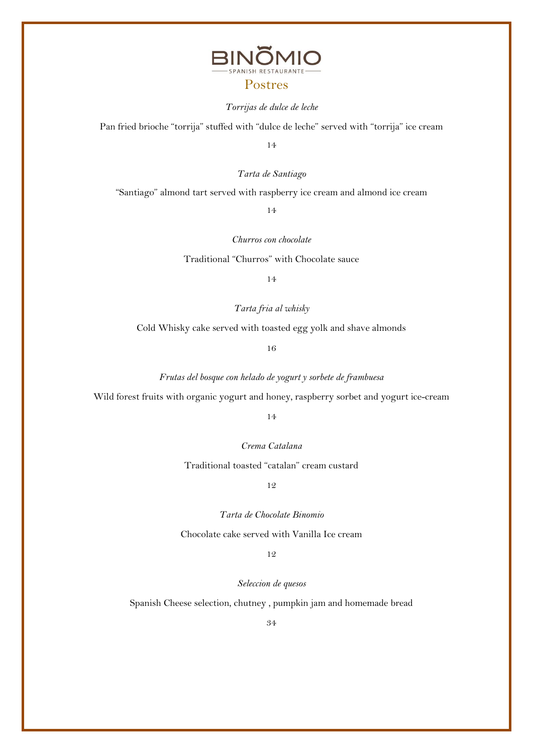

#### Postres

#### *Torrijas de dulce de leche*

Pan fried brioche "torrija" stuffed with "dulce de leche" served with "torrija" ice cream

14

*Tarta de Santiago*

"Santiago" almond tart served with raspberry ice cream and almond ice cream

14

*Churros con chocolate*

Traditional "Churros" with Chocolate sauce

14

*Tarta fria al whisky*

Cold Whisky cake served with toasted egg yolk and shave almonds

16

*Frutas del bosque con helado de yogurt y sorbete de frambuesa*

Wild forest fruits with organic yogurt and honey, raspberry sorbet and yogurt ice-cream

14

*Crema Catalana*

Traditional toasted "catalan" cream custard

12

*Tarta de Chocolate Binomio*

Chocolate cake served with Vanilla Ice cream

12

*Seleccion de quesos*

Spanish Cheese selection, chutney , pumpkin jam and homemade bread

34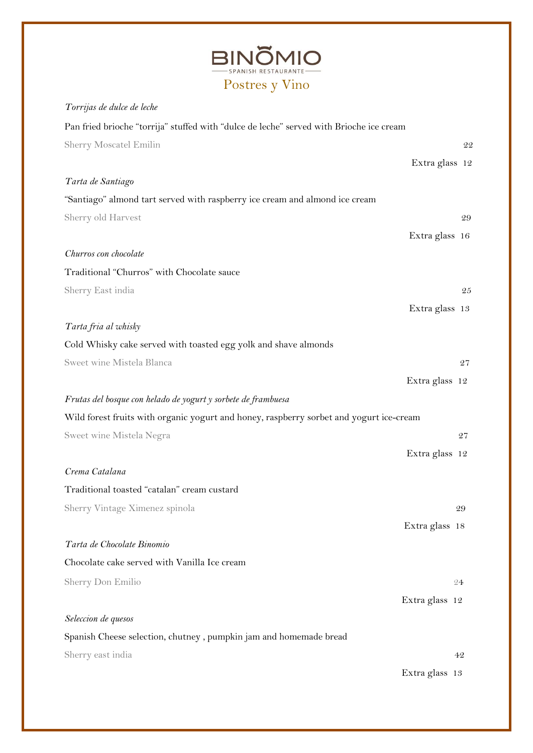| <b>BINOMIO</b>      |
|---------------------|
| SPANISH RESTAURANTE |
| Postres v Vino      |

*Torrijas de dulce de leche*

# Pan fried brioche "torrija" stuffed with "dulce de leche" served with Brioche ice cream Sherry Moscatel Emilin 22 Extra glass 12 *Tarta de Santiago*  "Santiago" almond tart served with raspberry ice cream and almond ice cream Sherry old Harvest 29 Extra glass 16 *Churros con chocolate* Traditional "Churros" with Chocolate sauce Sherry East india 25 Extra glass 13 *Tarta fria al whisky* Cold Whisky cake served with toasted egg yolk and shave almonds Sweet wine Mistela Blanca 27 Extra glass 12 *Frutas del bosque con helado de yogurt y sorbete de frambuesa* Wild forest fruits with organic yogurt and honey, raspberry sorbet and yogurt ice-cream Sweet wine Mistela Negra 27 Extra glass 12 *Crema Catalana* Traditional toasted "catalan" cream custard Sherry Vintage Ximenez spinola 29 Extra glass 18 *Tarta de Chocolate Binomio* Chocolate cake served with Vanilla Ice cream Sherry Don Emilio 24 Extra glass 12 *Seleccion de quesos* Spanish Cheese selection, chutney , pumpkin jam and homemade bread Sherry east india 42 Extra glass 13